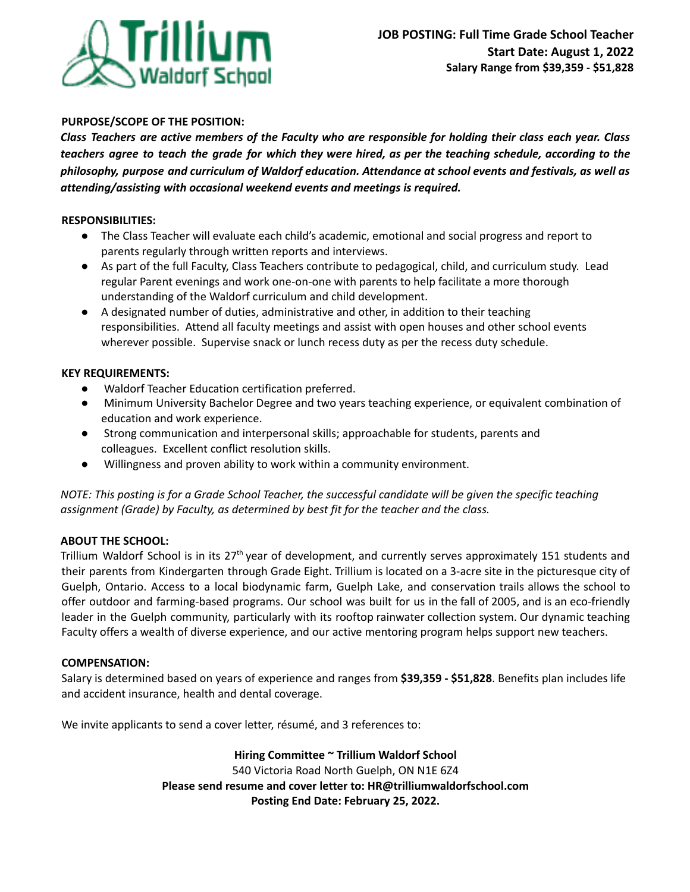

# **PURPOSE/SCOPE OF THE POSITION:**

Class Teachers are active members of the Faculty who are responsible for holding their class each year. Class teachers agree to teach the grade for which they were hired, as per the teaching schedule, according to the *philosophy, purpose and curriculum of Waldorf education. Attendance at school events and festivals, as well as attending/assisting with occasional weekend events and meetings is required.*

### **RESPONSIBILITIES:**

- The Class Teacher will evaluate each child's academic, emotional and social progress and report to parents regularly through written reports and interviews.
- As part of the full Faculty, Class Teachers contribute to pedagogical, child, and curriculum study. Lead regular Parent evenings and work one-on-one with parents to help facilitate a more thorough understanding of the Waldorf curriculum and child development.
- A designated number of duties, administrative and other, in addition to their teaching responsibilities. Attend all faculty meetings and assist with open houses and other school events wherever possible. Supervise snack or lunch recess duty as per the recess duty schedule.

## **KEY REQUIREMENTS:**

- Waldorf Teacher Education certification preferred.
- Minimum University Bachelor Degree and two years teaching experience, or equivalent combination of education and work experience.
- Strong communication and interpersonal skills; approachable for students, parents and colleagues. Excellent conflict resolution skills.
- Willingness and proven ability to work within a community environment.

NOTE: This posting is for a Grade School Teacher, the successful candidate will be given the specific teaching *assignment (Grade) by Faculty, as determined by best fit for the teacher and the class.*

## **ABOUT THE SCHOOL:**

Trillium Waldorf School is in its 27<sup>th</sup> year of development, and currently serves approximately 151 students and their parents from Kindergarten through Grade Eight. Trillium is located on a 3-acre site in the picturesque city of Guelph, Ontario. Access to a local biodynamic farm, Guelph Lake, and conservation trails allows the school to offer outdoor and farming-based programs. Our school was built for us in the fall of 2005, and is an eco-friendly leader in the Guelph community, particularly with its rooftop rainwater collection system. Our dynamic teaching Faculty offers a wealth of diverse experience, and our active mentoring program helps support new teachers.

#### **COMPENSATION:**

Salary is determined based on years of experience and ranges from **\$39,359 - \$51,828**. Benefits plan includes life and accident insurance, health and dental coverage.

We invite applicants to send a cover letter, résumé, and 3 references to:

**Hiring Committee ~ Trillium Waldorf School** 540 Victoria Road North Guelph, ON N1E 6Z4 **Please send resume and cover letter to: HR@trilliumwaldorfschool.com Posting End Date: February 25, 2022.**